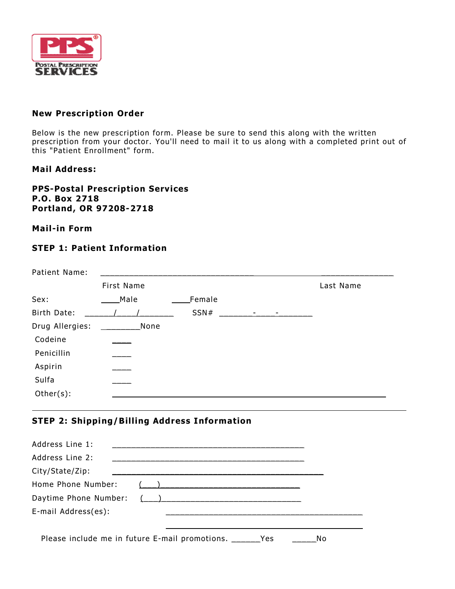

### **New Prescription Order**

Below is the new prescription form. Please be sure to send this along with the written prescription from your doctor. You'll need to mail it to us along with a completed print out of this "Patient Enrollment" form.

### **Mail Address:**

#### **PPS-Postal Prescription Services P.O. Box 2718 Portland, OR 97208-2718**

## **Mail-in Form**

# **STEP 1: Patient Information**

| Patient Name:   |            |        |         |           |
|-----------------|------------|--------|---------|-----------|
|                 | First Name |        |         | Last Name |
| Sex:            | Male       | Female |         |           |
| Birth Date:     |            | SSN#   | -<br>Ξ. |           |
| Drug Allergies: | None       |        |         |           |
| Codeine         |            |        |         |           |
| Penicillin      |            |        |         |           |
| Aspirin         |            |        |         |           |
| Sulfa           |            |        |         |           |
| Other(s):       |            |        |         |           |
|                 |            |        |         |           |

# **STEP 2: Shipping/Billing Address Information**

| Address Line 1:       |                                                              |    |
|-----------------------|--------------------------------------------------------------|----|
| Address Line 2:       |                                                              |    |
| City/State/Zip:       |                                                              |    |
| Home Phone Number:    |                                                              |    |
| Daytime Phone Number: | $($ $)$                                                      |    |
| E-mail Address(es):   |                                                              |    |
|                       |                                                              |    |
|                       | Please include me in future E-mail promotions.<br><b>Yes</b> | No |